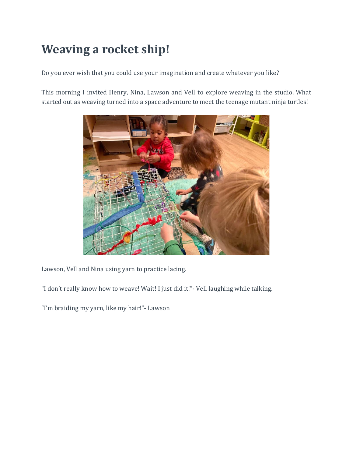## **Weaving a rocket ship!**

Do you ever wish that you could use your imagination and create whatever you like?

This morning I invited Henry, Nina, Lawson and Vell to explore weaving in the studio. What started out as weaving turned into a space adventure to meet the teenage mutant ninja turtles!



Lawson, Vell and Nina using yarn to practice lacing.

"I don't really know how to weave! Wait! I just did it!"- Vell laughing while talking.

"I'm braiding my yarn, like my hair!"- Lawson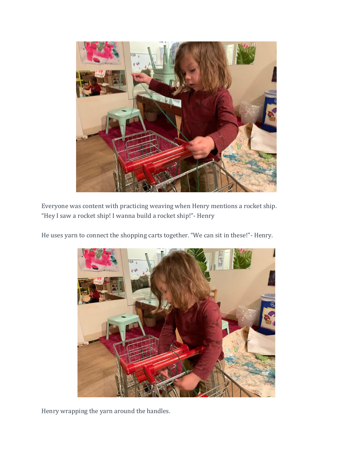

Everyone was content with practicing weaving when Henry mentions a rocket ship. "Hey I saw a rocket ship! I wanna build a rocket ship!"- Henry

He uses yarn to connect the shopping carts together. "We can sit in these!"- Henry.



Henry wrapping the yarn around the handles.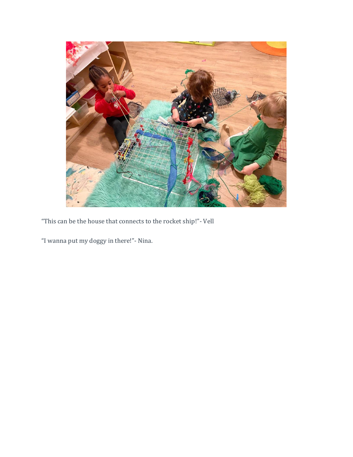

"This can be the house that connects to the rocket ship!"- Vell

"I wanna put my doggy in there!"- Nina.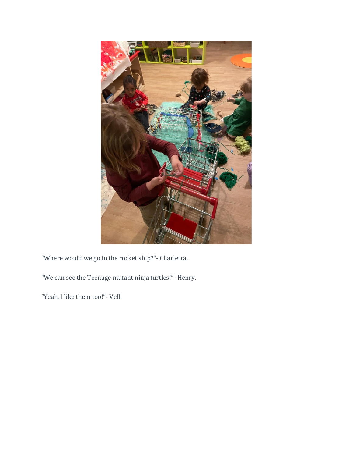

"Where would we go in the rocket ship?"- Charletra.

"We can see the Teenage mutant ninja turtles!"- Henry.

"Yeah, I like them too!"- Vell.